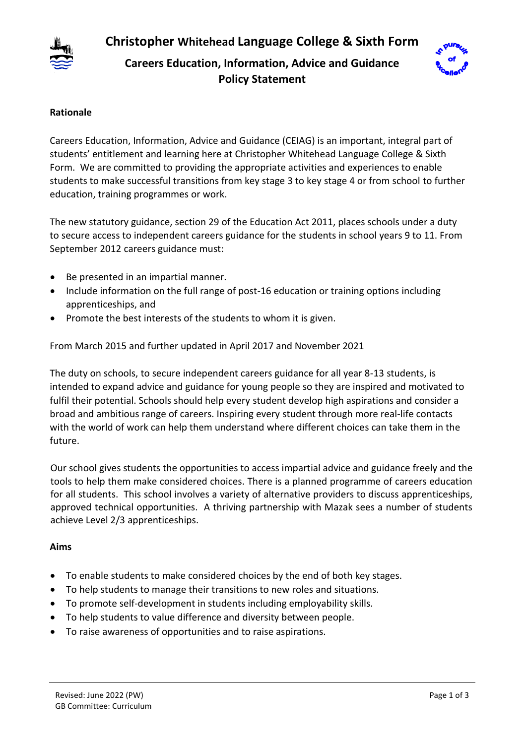

# **Careers Education, Information, Advice and Guidance Policy Statement**



# **Rationale**

Careers Education, Information, Advice and Guidance (CEIAG) is an important, integral part of students' entitlement and learning here at Christopher Whitehead Language College & Sixth Form. We are committed to providing the appropriate activities and experiences to enable students to make successful transitions from key stage 3 to key stage 4 or from school to further education, training programmes or work.

The new statutory guidance, section 29 of the Education Act 2011, places schools under a duty to secure access to independent careers guidance for the students in school years 9 to 11. From September 2012 careers guidance must:

- Be presented in an impartial manner.
- Include information on the full range of post-16 education or training options including apprenticeships, and
- Promote the best interests of the students to whom it is given.

From March 2015 and further updated in April 2017 and November 2021

The duty on schools, to secure independent careers guidance for all year 8-13 students, is intended to expand advice and guidance for young people so they are inspired and motivated to fulfil their potential. Schools should help every student develop high aspirations and consider a broad and ambitious range of careers. Inspiring every student through more real-life contacts with the world of work can help them understand where different choices can take them in the future.

Our school gives students the opportunities to access impartial advice and guidance freely and the tools to help them make considered choices. There is a planned programme of careers education for all students. This school involves a variety of alternative providers to discuss apprenticeships, approved technical opportunities. A thriving partnership with Mazak sees a number of students achieve Level 2/3 apprenticeships.

# **Aims**

- To enable students to make considered choices by the end of both key stages.
- To help students to manage their transitions to new roles and situations.
- To promote self-development in students including employability skills.
- To help students to value difference and diversity between people.
- To raise awareness of opportunities and to raise aspirations.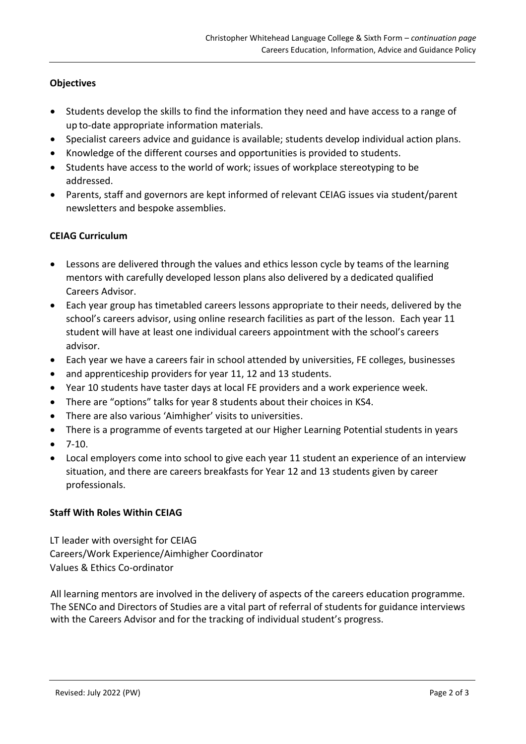## **Objectives**

- Students develop the skills to find the information they need and have access to a range of up to-date appropriate information materials.
- Specialist careers advice and guidance is available; students develop individual action plans.
- Knowledge of the different courses and opportunities is provided to students.
- Students have access to the world of work; issues of workplace stereotyping to be addressed.
- Parents, staff and governors are kept informed of relevant CEIAG issues via student/parent newsletters and bespoke assemblies.

## **CEIAG Curriculum**

- Lessons are delivered through the values and ethics lesson cycle by teams of the learning mentors with carefully developed lesson plans also delivered by a dedicated qualified Careers Advisor.
- Each year group has timetabled careers lessons appropriate to their needs, delivered by the school's careers advisor, using online research facilities as part of the lesson. Each year 11 student will have at least one individual careers appointment with the school's careers advisor.
- Each year we have a careers fair in school attended by universities, FE colleges, businesses
- and apprenticeship providers for year 11, 12 and 13 students.
- Year 10 students have taster days at local FE providers and a work experience week.
- There are "options" talks for year 8 students about their choices in KS4.
- There are also various 'Aimhigher' visits to universities.
- There is a programme of events targeted at our Higher Learning Potential students in years
- $-7-10.$
- Local employers come into school to give each year 11 student an experience of an interview situation, and there are careers breakfasts for Year 12 and 13 students given by career professionals.

## **Staff With Roles Within CEIAG**

LT leader with oversight for CEIAG Careers/Work Experience/Aimhigher Coordinator Values & Ethics Co-ordinator

All learning mentors are involved in the delivery of aspects of the careers education programme. The SENCo and Directors of Studies are a vital part of referral of students for guidance interviews with the Careers Advisor and for the tracking of individual student's progress.